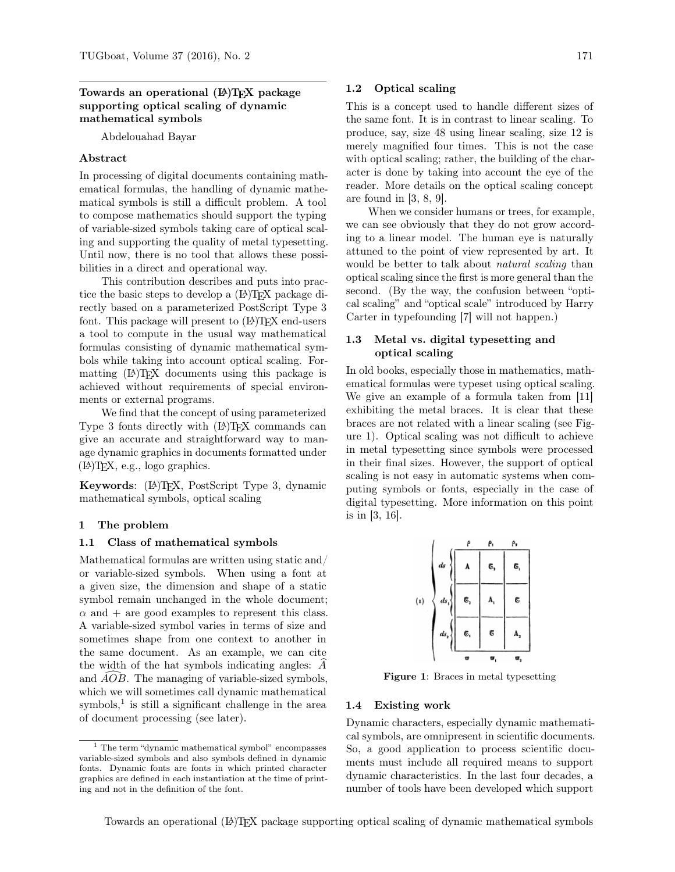### Towards an operational (LA)T<sub>EX</sub> package supporting optical scaling of dynamic mathematical symbols

Abdelouahad Bayar

### Abstract

In processing of digital documents containing mathematical formulas, the handling of dynamic mathematical symbols is still a difficult problem. A tool to compose mathematics should support the typing of variable-sized symbols taking care of optical scaling and supporting the quality of metal typesetting. Until now, there is no tool that allows these possibilities in a direct and operational way.

This contribution describes and puts into practice the basic steps to develop a  $(E)$ T<sub>E</sub>X package directly based on a parameterized PostScript Type 3 font. This package will present to  $(E)$ T<sub>F</sub>X end-users a tool to compute in the usual way mathematical formulas consisting of dynamic mathematical symbols while taking into account optical scaling. Formatting (LA)T<sub>EX</sub> documents using this package is achieved without requirements of special environments or external programs.

We find that the concept of using parameterized Type 3 fonts directly with (LA)TEX commands can give an accurate and straightforward way to manage dynamic graphics in documents formatted under (L<sup>A</sup>)TEX, e.g., logo graphics.

Keywords: (L<sup>A</sup>)TEX, PostScript Type 3, dynamic mathematical symbols, optical scaling

### 1 The problem

#### 1.1 Class of mathematical symbols

Mathematical formulas are written using static and/ or variable-sized symbols. When using a font at a given size, the dimension and shape of a static symbol remain unchanged in the whole document;  $\alpha$  and  $+$  are good examples to represent this class. A variable-sized symbol varies in terms of size and sometimes shape from one context to another in the same document. As an example, we can cite the width of the hat symbols indicating angles:  $\ddot{A}$ and  $\widehat{AOB}$ . The managing of variable-sized symbols, which we will sometimes call dynamic mathematical  $symbol{s}$ <sup>1</sup> is still a significant challenge in the area of document processing (see later).

### 1.2 Optical scaling

This is a concept used to handle different sizes of the same font. It is in contrast to linear scaling. To produce, say, size 48 using linear scaling, size 12 is merely magnified four times. This is not the case with optical scaling; rather, the building of the character is done by taking into account the eye of the reader. More details on the optical scaling concept are found in [3, 8, 9].

When we consider humans or trees, for example, we can see obviously that they do not grow according to a linear model. The human eye is naturally attuned to the point of view represented by art. It would be better to talk about *natural scaling* than optical scaling since the first is more general than the second. (By the way, the confusion between "optical scaling" and "optical scale" introduced by Harry Carter in typefounding [7] will not happen.)

### 1.3 Metal vs. digital typesetting and optical scaling

In old books, especially those in mathematics, mathematical formulas were typeset using optical scaling. We give an example of a formula taken from [11] exhibiting the metal braces. It is clear that these braces are not related with a linear scaling (see Figure 1). Optical scaling was not difficult to achieve in metal typesetting since symbols were processed in their final sizes. However, the support of optical scaling is not easy in automatic systems when computing symbols or fonts, especially in the case of digital typesetting. More information on this point is in [3, 16].



Figure 1: Braces in metal typesetting

#### 1.4 Existing work

Dynamic characters, especially dynamic mathematical symbols, are omnipresent in scientific documents. So, a good application to process scientific documents must include all required means to support dynamic characteristics. In the last four decades, a number of tools have been developed which support

<sup>1</sup> The term "dynamic mathematical symbol" encompasses variable-sized symbols and also symbols defined in dynamic fonts. Dynamic fonts are fonts in which printed character graphics are defined in each instantiation at the time of printing and not in the definition of the font.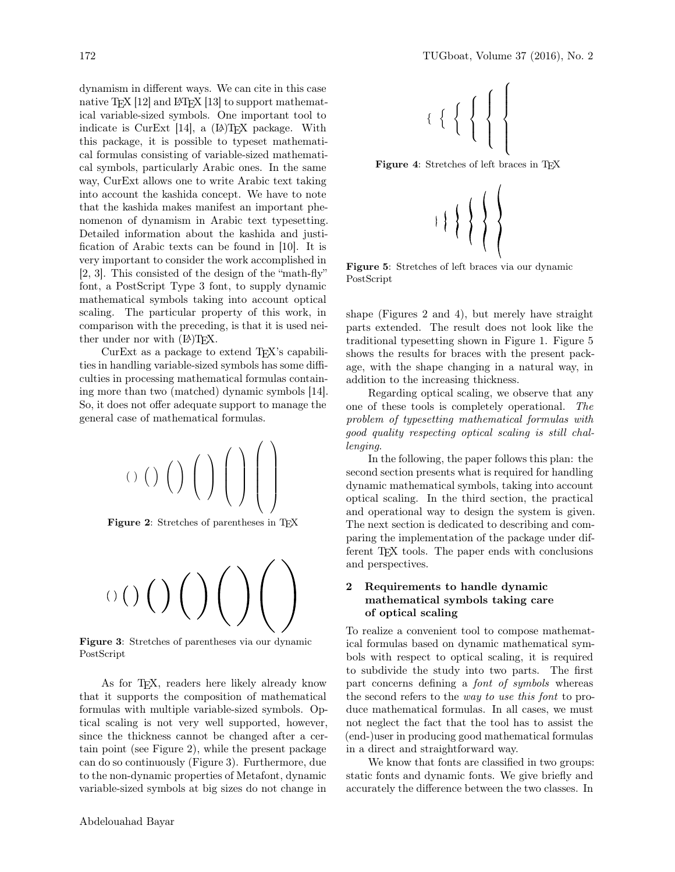dynamism in different ways. We can cite in this case native T<sub>E</sub>X [12] and  $\text{LFT}$  [13] to support mathematical variable-sized symbols. One important tool to indicate is CurExt  $[14]$ , a  $[4]$ TFX package. With this package, it is possible to typeset mathematical formulas consisting of variable-sized mathematical symbols, particularly Arabic ones. In the same way, CurExt allows one to write Arabic text taking into account the kashida concept. We have to note that the kashida makes manifest an important phenomenon of dynamism in Arabic text typesetting. Detailed information about the kashida and justification of Arabic texts can be found in [10]. It is very important to consider the work accomplished in [2, 3]. This consisted of the design of the "math-fly" font, a PostScript Type 3 font, to supply dynamic mathematical symbols taking into account optical scaling. The particular property of this work, in comparison with the preceding, is that it is used neither under nor with  $(L)$ TFX.

CurExt as a package to extend T<sub>FX</sub>'s capabilities in handling variable-sized symbols has some difficulties in processing mathematical formulas containing more than two (matched) dynamic symbols [14]. So, it does not offer adequate support to manage the general case of mathematical formulas.



Figure 2: Stretches of parentheses in T<sub>E</sub>X



Figure 3: Stretches of parentheses via our dynamic PostScript

As for T<sub>E</sub>X, readers here likely already know that it supports the composition of mathematical formulas with multiple variable-sized symbols. Optical scaling is not very well supported, however, since the thickness cannot be changed after a certain point (see Figure 2), while the present package can do so continuously (Figure 3). Furthermore, due to the non-dynamic properties of Metafont, dynamic variable-sized symbols at big sizes do not change in

Figure 4: Stretches of left braces in TEX



Figure 5: Stretches of left braces via our dynamic PostScript

shape (Figures 2 and 4), but merely have straight parts extended. The result does not look like the traditional typesetting shown in Figure 1. Figure 5 shows the results for braces with the present package, with the shape changing in a natural way, in addition to the increasing thickness.

Regarding optical scaling, we observe that any one of these tools is completely operational. The problem of typesetting mathematical formulas with good quality respecting optical scaling is still challenging.

In the following, the paper follows this plan: the second section presents what is required for handling dynamic mathematical symbols, taking into account optical scaling. In the third section, the practical and operational way to design the system is given. The next section is dedicated to describing and comparing the implementation of the package under different TEX tools. The paper ends with conclusions and perspectives.

# 2 Requirements to handle dynamic mathematical symbols taking care of optical scaling

To realize a convenient tool to compose mathematical formulas based on dynamic mathematical symbols with respect to optical scaling, it is required to subdivide the study into two parts. The first part concerns defining a font of symbols whereas the second refers to the way to use this font to produce mathematical formulas. In all cases, we must not neglect the fact that the tool has to assist the (end-)user in producing good mathematical formulas in a direct and straightforward way.

We know that fonts are classified in two groups: static fonts and dynamic fonts. We give briefly and accurately the difference between the two classes. In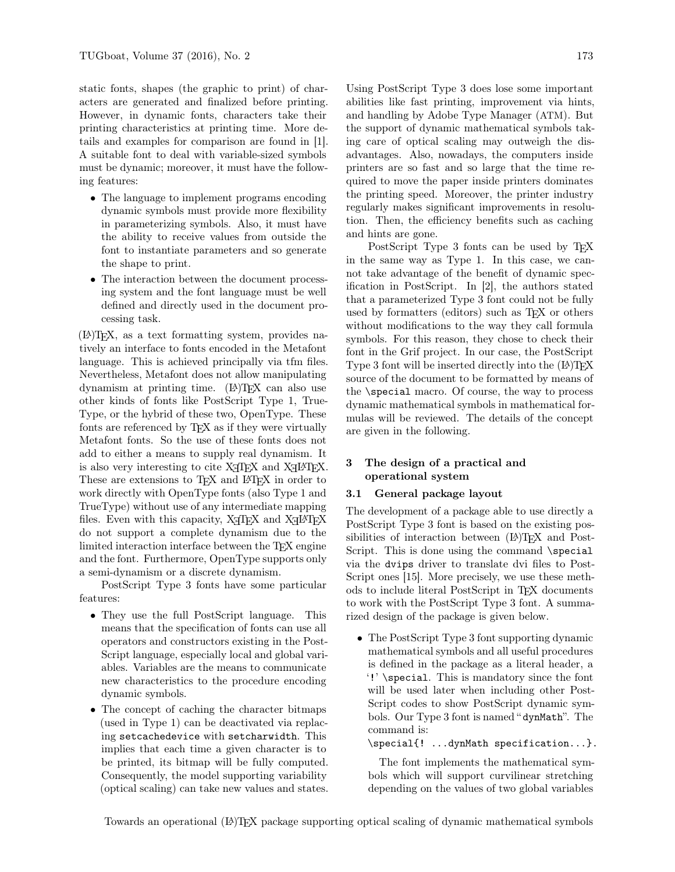static fonts, shapes (the graphic to print) of characters are generated and finalized before printing. However, in dynamic fonts, characters take their printing characteristics at printing time. More details and examples for comparison are found in [1]. A suitable font to deal with variable-sized symbols must be dynamic; moreover, it must have the following features:

- The language to implement programs encoding dynamic symbols must provide more flexibility in parameterizing symbols. Also, it must have the ability to receive values from outside the font to instantiate parameters and so generate the shape to print.
- The interaction between the document processing system and the font language must be well defined and directly used in the document processing task.

(L<sup>A</sup>)TEX, as a text formatting system, provides natively an interface to fonts encoded in the Metafont language. This is achieved principally via tfm files. Nevertheless, Metafont does not allow manipulating dynamism at printing time. (LA)T<sub>E</sub>X can also use other kinds of fonts like PostScript Type 1, True-Type, or the hybrid of these two, OpenType. These fonts are referenced by TEX as if they were virtually Metafont fonts. So the use of these fonts does not add to either a means to supply real dynamism. It is also very interesting to cite  $X_{\overline{A}}T_{\overline{E}}X$  and  $X_{\overline{A}}T_{\overline{E}}X$ . These are extensions to T<sub>F</sub>X and L<sup>AT</sup>F<sub>X</sub> in order to work directly with OpenType fonts (also Type 1 and TrueType) without use of any intermediate mapping files. Even with this capacity,  $X_{\overline{A}}T_{\overline{E}}X$  and  $X_{\overline{A}}T_{\overline{E}}X$ do not support a complete dynamism due to the limited interaction interface between the TFX engine and the font. Furthermore, OpenType supports only a semi-dynamism or a discrete dynamism.

PostScript Type 3 fonts have some particular features:

- They use the full PostScript language. This means that the specification of fonts can use all operators and constructors existing in the Post-Script language, especially local and global variables. Variables are the means to communicate new characteristics to the procedure encoding dynamic symbols.
- The concept of caching the character bitmaps (used in Type 1) can be deactivated via replacing setcachedevice with setcharwidth. This implies that each time a given character is to be printed, its bitmap will be fully computed. Consequently, the model supporting variability (optical scaling) can take new values and states.

Using PostScript Type 3 does lose some important abilities like fast printing, improvement via hints, and handling by Adobe Type Manager (ATM). But the support of dynamic mathematical symbols taking care of optical scaling may outweigh the disadvantages. Also, nowadays, the computers inside printers are so fast and so large that the time required to move the paper inside printers dominates the printing speed. Moreover, the printer industry regularly makes significant improvements in resolution. Then, the efficiency benefits such as caching and hints are gone.

PostScript Type 3 fonts can be used by TEX in the same way as Type 1. In this case, we cannot take advantage of the benefit of dynamic specification in PostScript. In [2], the authors stated that a parameterized Type 3 font could not be fully used by formatters (editors) such as TEX or others without modifications to the way they call formula symbols. For this reason, they chose to check their font in the Grif project. In our case, the PostScript Type 3 font will be inserted directly into the (LA)T<sub>EX</sub> source of the document to be formatted by means of the \special macro. Of course, the way to process dynamic mathematical symbols in mathematical formulas will be reviewed. The details of the concept are given in the following.

## 3 The design of a practical and operational system

#### 3.1 General package layout

The development of a package able to use directly a PostScript Type 3 font is based on the existing possibilities of interaction between (LA)T<sub>EX</sub> and Post-Script. This is done using the command \special via the dvips driver to translate dvi files to Post-Script ones [15]. More precisely, we use these methods to include literal PostScript in TEX documents to work with the PostScript Type 3 font. A summarized design of the package is given below.

• The PostScript Type 3 font supporting dynamic mathematical symbols and all useful procedures is defined in the package as a literal header, a '!' \special. This is mandatory since the font will be used later when including other Post-Script codes to show PostScript dynamic symbols. Our Type 3 font is named " dynMath". The command is:

\special{! ...dynMath specification...}.

The font implements the mathematical symbols which will support curvilinear stretching depending on the values of two global variables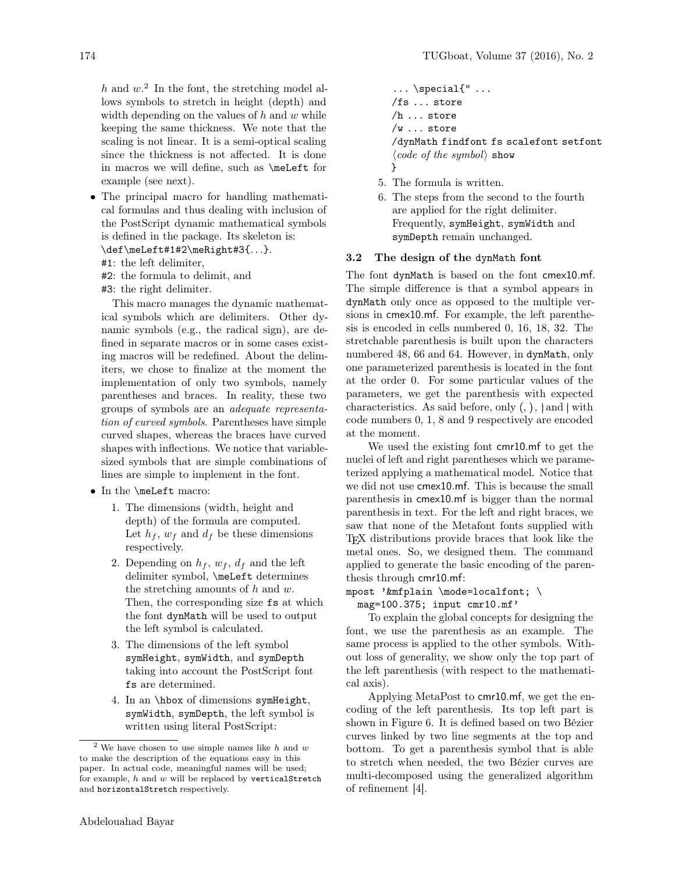$h$  and  $w$ <sup>2</sup>. In the font, the stretching model allows symbols to stretch in height (depth) and width depending on the values of  $h$  and  $w$  while keeping the same thickness. We note that the scaling is not linear. It is a semi-optical scaling since the thickness is not affected. It is done in macros we will define, such as \meLeft for example (see next).

- The principal macro for handling mathematical formulas and thus dealing with inclusion of the PostScript dynamic mathematical symbols is defined in the package. Its skeleton is:
	- \def\meLeft#1#2\meRight#3{...}.
	- #1: the left delimiter,
	- #2: the formula to delimit, and
	- #3: the right delimiter.

This macro manages the dynamic mathematical symbols which are delimiters. Other dynamic symbols (e.g., the radical sign), are defined in separate macros or in some cases existing macros will be redefined. About the delimiters, we chose to finalize at the moment the implementation of only two symbols, namely parentheses and braces. In reality, these two groups of symbols are an adequate representation of curved symbols. Parentheses have simple curved shapes, whereas the braces have curved shapes with inflections. We notice that variablesized symbols that are simple combinations of lines are simple to implement in the font.

- In the \meLeft macro:
	- 1. The dimensions (width, height and depth) of the formula are computed. Let  $h_f$ ,  $w_f$  and  $d_f$  be these dimensions respectively.
	- 2. Depending on  $h_f$ ,  $w_f$ ,  $d_f$  and the left delimiter symbol, \meLeft determines the stretching amounts of  $h$  and  $w$ . Then, the corresponding size fs at which the font dynMath will be used to output the left symbol is calculated.
	- 3. The dimensions of the left symbol symHeight, symWidth, and symDepth taking into account the PostScript font fs are determined.
	- 4. In an \hbox of dimensions symHeight, symWidth, symDepth, the left symbol is written using literal PostScript:

```
\ldots \special{" \ldots/fs ... store
/h ... store
/w ... store
/dynMath findfont fs scalefont setfont
\langle code\ of\ the\ symbol\rangle\ show}
```
- 5. The formula is written.
- 6. The steps from the second to the fourth are applied for the right delimiter. Frequently, symHeight, symWidth and symDepth remain unchanged.

# 3.2 The design of the dynMath font

The font dynMath is based on the font cmex10.mf. The simple difference is that a symbol appears in dynMath only once as opposed to the multiple versions in cmex10.mf. For example, the left parenthesis is encoded in cells numbered 0, 16, 18, 32. The stretchable parenthesis is built upon the characters numbered 48, 66 and 64. However, in dynMath, only one parameterized parenthesis is located in the font at the order 0. For some particular values of the parameters, we get the parenthesis with expected characteristics. As said before, only  $(,)$ ,  $\{$  and  $\}$  with code numbers 0, 1, 8 and 9 respectively are encoded at the moment.

We used the existing font cmr10.mf to get the nuclei of left and right parentheses which we parameterized applying a mathematical model. Notice that we did not use cmex10.mf. This is because the small parenthesis in cmex10.mf is bigger than the normal parenthesis in text. For the left and right braces, we saw that none of the Metafont fonts supplied with TEX distributions provide braces that look like the metal ones. So, we designed them. The command applied to generate the basic encoding of the parenthesis through cmr10.mf:

mpost '&mfplain \mode=localfont; \

mag=100.375; input cmr10.mf'

To explain the global concepts for designing the font, we use the parenthesis as an example. The same process is applied to the other symbols. Without loss of generality, we show only the top part of the left parenthesis (with respect to the mathematical axis).

Applying MetaPost to cmr10.mf, we get the encoding of the left parenthesis. Its top left part is shown in Figure 6. It is defined based on two Bézier curves linked by two line segments at the top and bottom. To get a parenthesis symbol that is able to stretch when needed, the two Bézier curves are multi-decomposed using the generalized algorithm of refinement [4].

<sup>&</sup>lt;sup>2</sup> We have chosen to use simple names like h and  $w$ to make the description of the equations easy in this paper. In actual code, meaningful names will be used; for example,  $h$  and  $w$  will be replaced by verticalStretch and horizontalStretch respectively.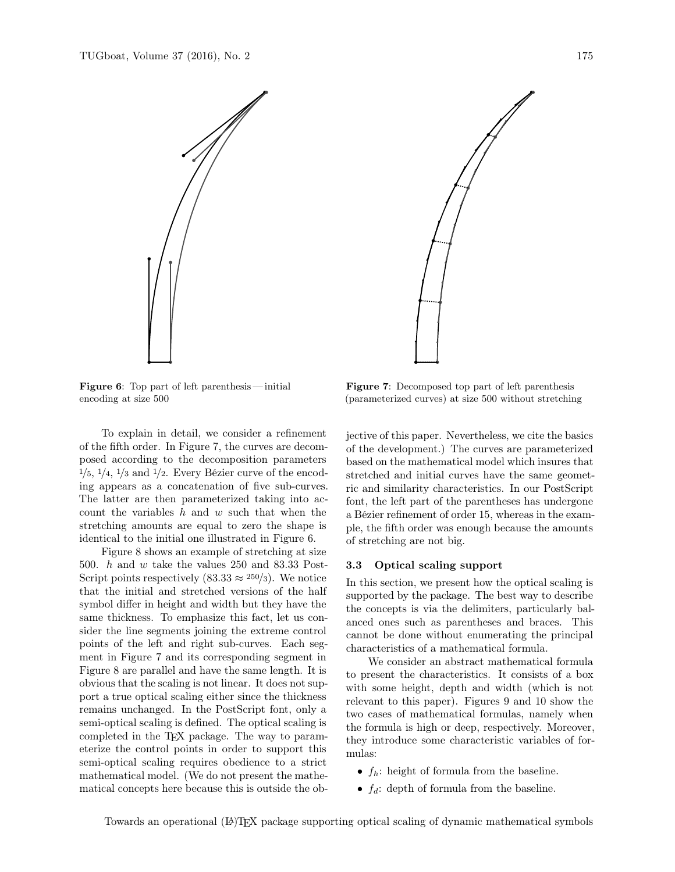



Figure 6: Top part of left parenthesis— initial encoding at size 500

To explain in detail, we consider a refinement of the fifth order. In Figure 7, the curves are decomposed according to the decomposition parameters  $1/5$ ,  $1/4$ ,  $1/3$  and  $1/2$ . Every Bézier curve of the encoding appears as a concatenation of five sub-curves. The latter are then parameterized taking into account the variables  $h$  and  $w$  such that when the stretching amounts are equal to zero the shape is identical to the initial one illustrated in Figure 6.

Figure 8 shows an example of stretching at size 500. h and w take the values 250 and 83.33 Post-Script points respectively  $(83.33 \approx 250/3)$ . We notice that the initial and stretched versions of the half symbol differ in height and width but they have the same thickness. To emphasize this fact, let us consider the line segments joining the extreme control points of the left and right sub-curves. Each segment in Figure 7 and its corresponding segment in Figure 8 are parallel and have the same length. It is obvious that the scaling is not linear. It does not support a true optical scaling either since the thickness remains unchanged. In the PostScript font, only a semi-optical scaling is defined. The optical scaling is completed in the TEX package. The way to parameterize the control points in order to support this semi-optical scaling requires obedience to a strict mathematical model. (We do not present the mathematical concepts here because this is outside the ob-

Figure 7: Decomposed top part of left parenthesis (parameterized curves) at size 500 without stretching

jective of this paper. Nevertheless, we cite the basics of the development.) The curves are parameterized based on the mathematical model which insures that stretched and initial curves have the same geometric and similarity characteristics. In our PostScript font, the left part of the parentheses has undergone a Bézier refinement of order 15, whereas in the example, the fifth order was enough because the amounts of stretching are not big.

#### 3.3 Optical scaling support

In this section, we present how the optical scaling is supported by the package. The best way to describe the concepts is via the delimiters, particularly balanced ones such as parentheses and braces. This cannot be done without enumerating the principal characteristics of a mathematical formula.

We consider an abstract mathematical formula to present the characteristics. It consists of a box with some height, depth and width (which is not relevant to this paper). Figures 9 and 10 show the two cases of mathematical formulas, namely when the formula is high or deep, respectively. Moreover, they introduce some characteristic variables of formulas:

- $f_h$ : height of formula from the baseline.
- $f_d$ : depth of formula from the baseline.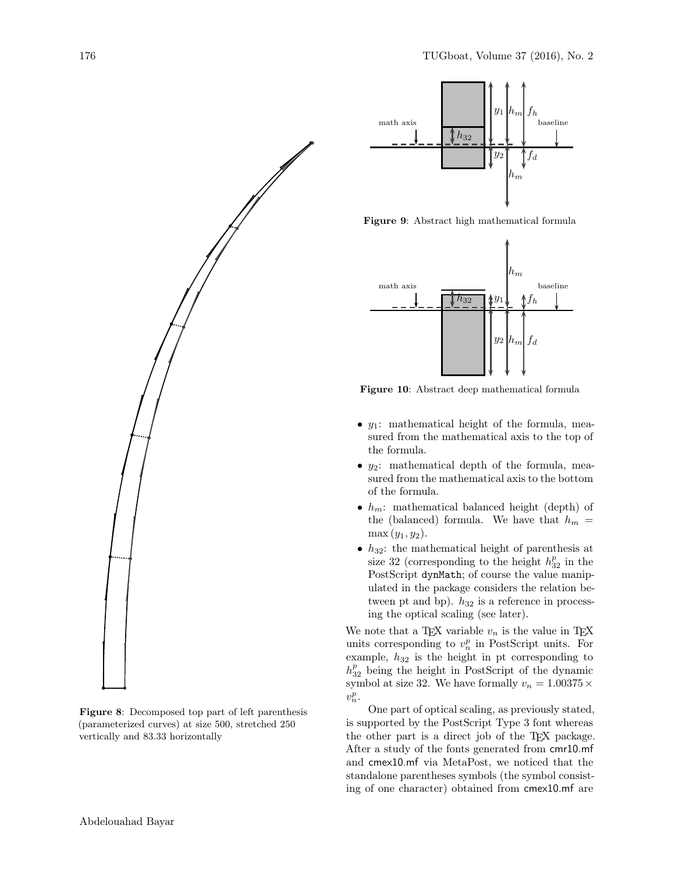

Figure 8: Decomposed top part of left parenthesis (parameterized curves) at size 500, stretched 250 vertically and 83.33 horizontally



Figure 9: Abstract high mathematical formula



Figure 10: Abstract deep mathematical formula

- $y_1$ : mathematical height of the formula, measured from the mathematical axis to the top of the formula.
- $y_2$ : mathematical depth of the formula, measured from the mathematical axis to the bottom of the formula.
- $h_m$ : mathematical balanced height (depth) of the (balanced) formula. We have that  $h_m =$  $\max(y_1, y_2)$ .
- $h_{32}$ : the mathematical height of parenthesis at size 32 (corresponding to the height  $h_{32}^p$  in the PostScript dynMath; of course the value manipulated in the package considers the relation between pt and bp).  $h_{32}$  is a reference in processing the optical scaling (see later).

We note that a T<sub>E</sub>X variable  $v_n$  is the value in T<sub>E</sub>X units corresponding to  $v_n^p$  in PostScript units. For example,  $h_{32}$  is the height in pt corresponding to  $h_{32}^p$  being the height in PostScript of the dynamic symbol at size 32. We have formally  $v_n = 1.00375 \, \times$  $v_n^p$ .

One part of optical scaling, as previously stated, is supported by the PostScript Type 3 font whereas the other part is a direct job of the TEX package. After a study of the fonts generated from cmr10.mf and cmex10.mf via MetaPost, we noticed that the standalone parentheses symbols (the symbol consisting of one character) obtained from cmex10.mf are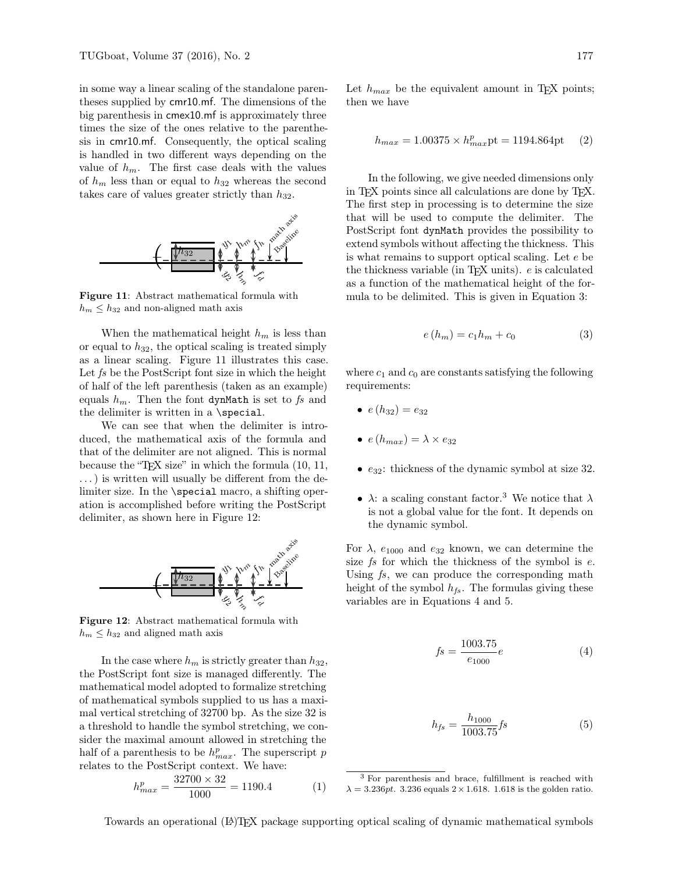in some way a linear scaling of the standalone parentheses supplied by cmr10.mf. The dimensions of the big parenthesis in cmex10.mf is approximately three times the size of the ones relative to the parenthesis in cmr10.mf. Consequently, the optical scaling is handled in two different ways depending on the value of  $h_m$ . The first case deals with the values of  $h_m$  less than or equal to  $h_{32}$  whereas the second takes care of values greater strictly than  $h_{32}$ .



Figure 11: Abstract mathematical formula with  $h_m \leq h_{32}$  and non-aligned math axis

When the mathematical height  $h_m$  is less than or equal to  $h_{32}$ , the optical scaling is treated simply as a linear scaling. Figure 11 illustrates this case. Let fs be the PostScript font size in which the height of half of the left parenthesis (taken as an example) equals  $h_m$ . Then the font dynMath is set to fs and the delimiter is written in a  $\text{special}$ .

We can see that when the delimiter is introduced, the mathematical axis of the formula and that of the delimiter are not aligned. This is normal because the "TEX size" in which the formula (10, 11, . . . ) is written will usually be different from the delimiter size. In the \special macro, a shifting operation is accomplished before writing the PostScript delimiter, as shown here in Figure 12:



Figure 12: Abstract mathematical formula with  $h_m \leq h_{32}$  and aligned math axis

In the case where  $h_m$  is strictly greater than  $h_{32}$ , the PostScript font size is managed differently. The mathematical model adopted to formalize stretching of mathematical symbols supplied to us has a maximal vertical stretching of 32700 bp. As the size 32 is a threshold to handle the symbol stretching, we consider the maximal amount allowed in stretching the half of a parenthesis to be  $h_{max}^p$ . The superscript p relates to the PostScript context. We have:

$$
h_{max}^p = \frac{32700 \times 32}{1000} = 1190.4
$$
 (1)

Let  $h_{max}$  be the equivalent amount in T<sub>EX</sub> points; then we have

$$
h_{max} = 1.00375 \times h_{max}^p \text{pt} = 1194.864 \text{pt} \qquad (2)
$$

In the following, we give needed dimensions only in TEX points since all calculations are done by TEX. The first step in processing is to determine the size that will be used to compute the delimiter. The PostScript font dynMath provides the possibility to extend symbols without affecting the thickness. This is what remains to support optical scaling. Let e be the thickness variable (in T<sub>EX</sub> units).  $e$  is calculated as a function of the mathematical height of the formula to be delimited. This is given in Equation 3:

$$
e(h_m) = c_1 h_m + c_0 \tag{3}
$$

where  $c_1$  and  $c_0$  are constants satisfying the following requirements:

- $e(h_{32}) = e_{32}$
- $\bullet$   $e(h_{max}) = \lambda \times e_{32}$
- $e_{32}$ : thickness of the dynamic symbol at size 32.
- $\lambda$ : a scaling constant factor.<sup>3</sup> We notice that  $\lambda$ is not a global value for the font. It depends on the dynamic symbol.

For  $\lambda$ ,  $e_{1000}$  and  $e_{32}$  known, we can determine the size  $fs$  for which the thickness of the symbol is  $e$ . Using  $fs$ , we can produce the corresponding math height of the symbol  $h_{fs}$ . The formulas giving these variables are in Equations 4 and 5.

$$
fs = \frac{1003.75}{e_{1000}}e
$$
 (4)

$$
h_{fs} = \frac{h_{1000}}{1003.75} fs \tag{5}
$$

Towards an operational (LA)TEX package supporting optical scaling of dynamic mathematical symbols

<sup>3</sup> For parenthesis and brace, fulfillment is reached with  $\lambda = 3.236 \text{pt}$ . 3.236 equals  $2 \times 1.618$ . 1.618 is the golden ratio.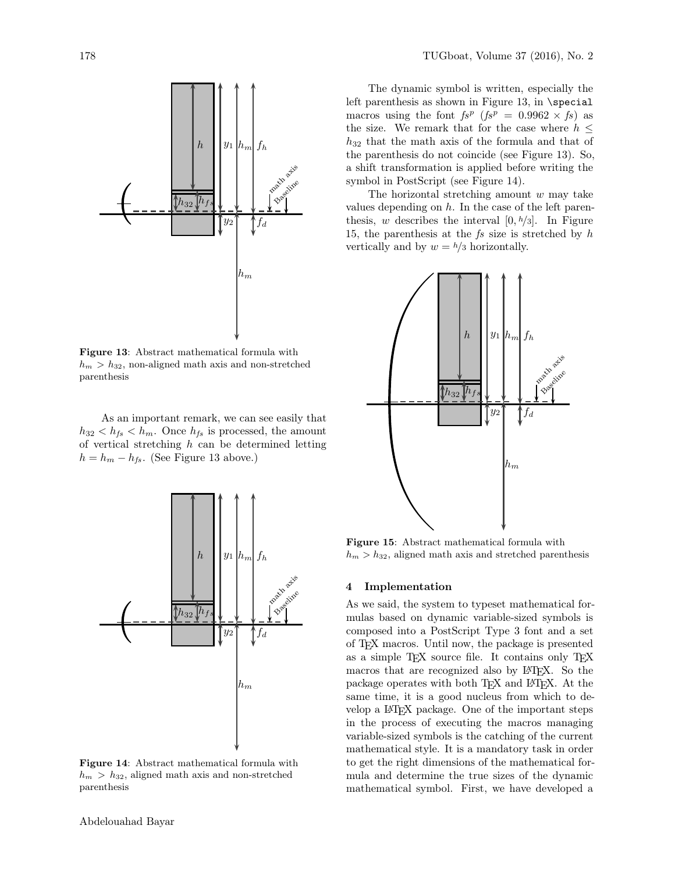

Figure 13: Abstract mathematical formula with  $h_m > h_{32}$ , non-aligned math axis and non-stretched parenthesis

As an important remark, we can see easily that  $h_{32} < h_{fs} < h_m$ . Once  $h_{fs}$  is processed, the amount of vertical stretching  $h$  can be determined letting  $h = h_m - h_{fs}$ . (See Figure 13 above.)



Figure 14: Abstract mathematical formula with  $h_m > h_{32}$ , aligned math axis and non-stretched parenthesis

The dynamic symbol is written, especially the left parenthesis as shown in Figure 13, in \special macros using the font  $fs^p$  ( $fs^p = 0.9962 \times fs$ ) as the size. We remark that for the case where  $h \leq$  $h_{32}$  that the math axis of the formula and that of the parenthesis do not coincide (see Figure 13). So, a shift transformation is applied before writing the symbol in PostScript (see Figure 14).

The horizontal stretching amount  $w$  may take values depending on  $h$ . In the case of the left parenthesis, w describes the interval  $[0, h/3]$ . In Figure 15, the parenthesis at the  $fs$  size is stretched by  $h$ vertically and by  $w = h/3$  horizontally.



Figure 15: Abstract mathematical formula with  $h_m > h_{32}$ , aligned math axis and stretched parenthesis

### 4 Implementation

As we said, the system to typeset mathematical formulas based on dynamic variable-sized symbols is composed into a PostScript Type 3 font and a set of TEX macros. Until now, the package is presented as a simple T<sub>E</sub>X source file. It contains only T<sub>E</sub>X macros that are recognized also by L<sup>AT</sup>EX. So the package operates with both T<sub>EX</sub> and L<sup>AT</sup>EX. At the same time, it is a good nucleus from which to develop a L<sup>A</sup>TEX package. One of the important steps in the process of executing the macros managing variable-sized symbols is the catching of the current mathematical style. It is a mandatory task in order to get the right dimensions of the mathematical formula and determine the true sizes of the dynamic mathematical symbol. First, we have developed a